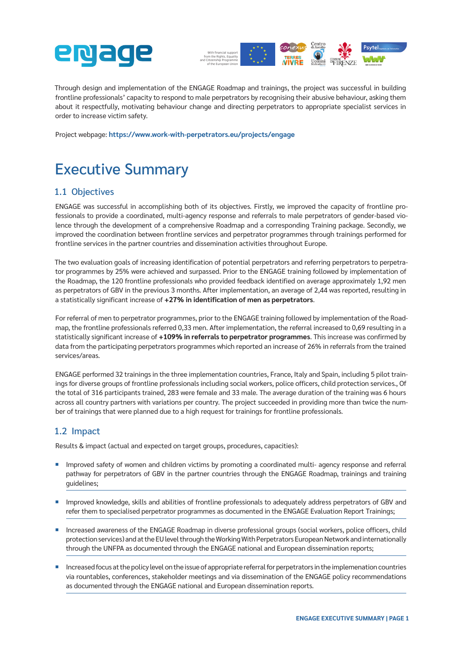



Through design and implementation of the ENGAGE Roadmap and trainings, the project was successful in building frontline professionals' capacity to respond to male perpetrators by recognising their abusive behaviour, asking them about it respectfully, motivating behaviour change and directing perpetrators to appropriate specialist services in order to increase victim safety.

Project webpage: **<https://www.work-with-perpetrators.eu/projects/engage>**

# Executive Summary

## 1.1 Objectives

ENGAGE was successful in accomplishing both of its objectives. Firstly, we improved the capacity of frontline professionals to provide a coordinated, multi-agency response and referrals to male perpetrators of gender-based violence through the development of a comprehensive Roadmap and a corresponding Training package. Secondly, we improved the coordination between frontline services and perpetrator programmes through trainings performed for frontline services in the partner countries and dissemination activities throughout Europe.

The two evaluation goals of increasing identification of potential perpetrators and referring perpetrators to perpetrator programmes by 25% were achieved and surpassed. Prior to the ENGAGE training followed by implementation of the Roadmap, the 120 frontline professionals who provided feedback identified on average approximately 1,92 men as perpetrators of GBV in the previous 3 months. After implementation, an average of 2,44 was reported, resulting in a statistically significant increase of **+27% in identification of men as perpetrators**.

For referral of men to perpetrator programmes, prior to the ENGAGE training followed by implementation of the Roadmap, the frontline professionals referred 0,33 men. After implementation, the referral increased to 0,69 resulting in a statistically significant increase of **+109% in referrals to perpetrator programmes**. This increase was confirmed by data from the participating perpetrators programmes which reported an increase of 26% in referrals from the trained services/areas.

ENGAGE performed 32 trainings in the three implementation countries, France, Italy and Spain, including 5 pilot trainings for diverse groups of frontline professionals including social workers, police officers, child protection services., Of the total of 316 participants trained, 283 were female and 33 male. The average duration of the training was 6 hours across all country partners with variations per country. The project succeeded in providing more than twice the number of trainings that were planned due to a high request for trainings for frontline professionals.

## 1.2 Impact

Results & impact (actual and expected on target groups, procedures, capacities):

- Improved safety of women and children victims by promoting a coordinated multi- agency response and referral pathway for perpetrators of GBV in the partner countries through the ENGAGE Roadmap, trainings and training guidelines;
- Improved knowledge, skills and abilities of frontline professionals to adequately address perpetrators of GBV and refer them to specialised perpetrator programmes as documented in the ENGAGE Evaluation Report Trainings;
- Increased awareness of the ENGAGE Roadmap in diverse professional groups (social workers, police officers, child protection services) and at the EU level through the Working With Perpetrators European Network and internationally through the UNFPA as documented through the ENGAGE national and European dissemination reports;
- Increased focus at the policy level on the issue of appropriate referral for perpetrators in the implemenation countries via rountables, conferences, stakeholder meetings and via dissemination of the ENGAGE policy recommendations as documented through the ENGAGE national and European dissemination reports.